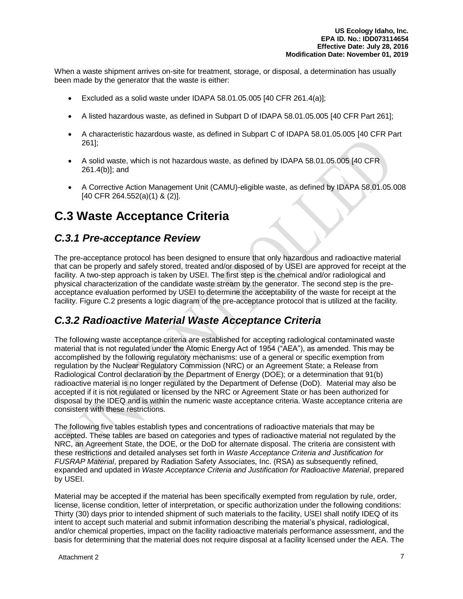When a waste shipment arrives on-site for treatment, storage, or disposal, a determination has usually been made by the generator that the waste is either:

- Excluded as a solid waste under IDAPA 58.01.05.005  $[40 \text{ CFR } 261.4(a)]$ ;
- A listed hazardous waste, as defined in Subpart D of IDAPA 58.01.05.005 [40 CFR Part 261];
- A characteristic hazardous waste, as defined in Subpart C of IDAPA 58.01.05.005 [40 CFR Part 261];
- A solid waste, which is not hazardous waste, as defined by IDAPA 58.01.05.005 [40 CFR 261.4(b)]; and
- A Corrective Action Management Unit (CAMU)-eligible waste, as defined by IDAPA 58.01.05.008 [40 CFR 264.552(a)(1) & (2)].

# **C.3 Waste Acceptance Criteria**

## *C.3.1 Pre-acceptance Review*

The pre-acceptance protocol has been designed to ensure that only hazardous and radioactive material that can be properly and safely stored, treated and/or disposed of by USEI are approved for receipt at the facility. A two-step approach is taken by USEI. The first step is the chemical and/or radiological and physical characterization of the candidate waste stream by the generator. The second step is the preacceptance evaluation performed by USEI to determine the acceptability of the waste for receipt at the facility. Figure C.2 presents a logic diagram of the pre-acceptance protocol that is utilized at the facility.

## *C.3.2 Radioactive Material Waste Acceptance Criteria*

The following waste acceptance criteria are established for accepting radiological contaminated waste material that is not regulated under the Atomic Energy Act of 1954 ("AEA"), as amended. This may be accomplished by the following regulatory mechanisms: use of a general or specific exemption from regulation by the Nuclear Regulatory Commission (NRC) or an Agreement State; a Release from Radiological Control declaration by the Department of Energy (DOE); or a determination that 91(b) radioactive material is no longer regulated by the Department of Defense (DoD). Material may also be accepted if it is not regulated or licensed by the NRC or Agreement State or has been authorized for disposal by the IDEQ and is within the numeric waste acceptance criteria. Waste acceptance criteria are consistent with these restrictions.

The following five tables establish types and concentrations of radioactive materials that may be accepted. These tables are based on categories and types of radioactive material not regulated by the NRC, an Agreement State, the DOE, or the DoD for alternate disposal. The criteria are consistent with these restrictions and detailed analyses set forth in *Waste Acceptance Criteria and Justification for FUSRAP Material*, prepared by Radiation Safety Associates, Inc. (RSA) as subsequently refined, expanded and updated in *Waste Acceptance Criteria and Justification for Radioactive Material*, prepared by USEI.

Material may be accepted if the material has been specifically exempted from regulation by rule, order, license, license condition, letter of interpretation, or specific authorization under the following conditions: Thirty (30) days prior to intended shipment of such materials to the facility, USEI shall notify IDEQ of its intent to accept such material and submit information describing the material's physical, radiological, and/or chemical properties, impact on the facility radioactive materials performance assessment, and the basis for determining that the material does not require disposal at a facility licensed under the AEA. The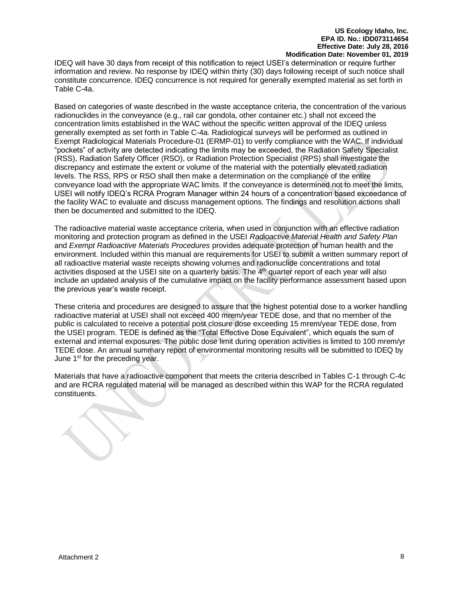IDEQ will have 30 days from receipt of this notification to reject USEI's determination or require further information and review. No response by IDEQ within thirty (30) days following receipt of such notice shall constitute concurrence. IDEQ concurrence is not required for generally exempted material as set forth in Table C-4a.

Based on categories of waste described in the waste acceptance criteria, the concentration of the various radionuclides in the conveyance (e.g., rail car gondola, other container etc.) shall not exceed the concentration limits established in the WAC without the specific written approval of the IDEQ unless generally exempted as set forth in Table C-4a. Radiological surveys will be performed as outlined in Exempt Radiological Materials Procedure-01 (ERMP-01) to verify compliance with the WAC. If individual "pockets" of activity are detected indicating the limits may be exceeded, the Radiation Safety Specialist (RSS), Radiation Safety Officer (RSO), or Radiation Protection Specialist (RPS) shall investigate the discrepancy and estimate the extent or volume of the material with the potentially elevated radiation levels. The RSS, RPS or RSO shall then make a determination on the compliance of the entire conveyance load with the appropriate WAC limits. If the conveyance is determined not to meet the limits, USEI will notify IDEQ's RCRA Program Manager within 24 hours of a concentration based exceedance of the facility WAC to evaluate and discuss management options. The findings and resolution actions shall then be documented and submitted to the IDEQ.

The radioactive material waste acceptance criteria, when used in conjunction with an effective radiation monitoring and protection program as defined in the USEI *Radioactive Material Health and Safety Plan* and *Exempt Radioactive Materials Procedures* provides adequate protection of human health and the environment. Included within this manual are requirements for USEI to submit a written summary report of all radioactive material waste receipts showing volumes and radionuclide concentrations and total activities disposed at the USEI site on a quarterly basis. The 4<sup>th</sup> quarter report of each year will also include an updated analysis of the cumulative impact on the facility performance assessment based upon the previous year's waste receipt.

These criteria and procedures are designed to assure that the highest potential dose to a worker handling radioactive material at USEI shall not exceed 400 mrem/year TEDE dose, and that no member of the public is calculated to receive a potential post closure dose exceeding 15 mrem/year TEDE dose, from the USEI program. TEDE is defined as the "Total Effective Dose Equivalent", which equals the sum of external and internal exposures. The public dose limit during operation activities is limited to 100 mrem/yr TEDE dose. An annual summary report of environmental monitoring results will be submitted to IDEQ by June 1<sup>st</sup> for the preceding year.

Materials that have a radioactive component that meets the criteria described in Tables C-1 through C-4c and are RCRA regulated material will be managed as described within this WAP for the RCRA regulated constituents.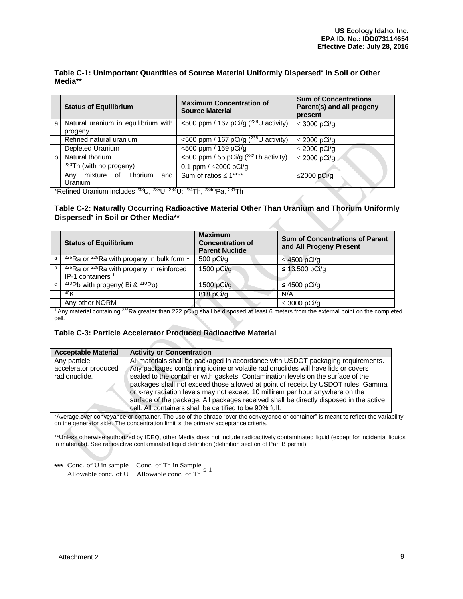### **Table C-1: Unimportant Quantities of Source Material Uniformly Dispersed in Soil or Other Media\*\***

|    | <b>Status of Equilibrium</b>        | <b>Maximum Concentration of</b><br><b>Source Material</b> | <b>Sum of Concentrations</b><br>Parent(s) and all progeny<br>present |
|----|-------------------------------------|-----------------------------------------------------------|----------------------------------------------------------------------|
| a  | Natural uranium in equilibrium with | <500 ppm / 167 pCi/g $(^{238}U$ activity)                 | $\leq$ 3000 pCi/g                                                    |
|    | progeny                             |                                                           |                                                                      |
|    | Refined natural uranium             | <500 ppm / 167 pCi/g $(^{238}U$ activity)                 | $\leq$ 2000 pCi/g                                                    |
|    | Depleted Uranium                    | <500 ppm / 169 pCi/g                                      | $\leq$ 2000 pCi/g                                                    |
| b. | Natural thorium                     | <500 ppm / 55 pCi/g $(^{232}Th$ activity)                 | $\leq$ 2000 pCi/g                                                    |
|    | $\sqrt{230}$ Th (with no progeny)   | 0.1 ppm / $\leq$ 2000 pCi/g                               |                                                                      |
|    | mixture of Thorium and<br>Any       | Sum of ratios $\leq 1***$                                 | $\leq$ 2000 pCi/g                                                    |
|    | <b>Uranium</b>                      |                                                           |                                                                      |

\*Refined Uranium includes <sup>238</sup>U, <sup>235</sup>U, <sup>234</sup>U; <sup>234</sup>Th, 234mPa, <sup>231</sup>Th

### **Table C-2: Naturally Occurring Radioactive Material Other Than Uranium and Thorium Uniformly Dispersed in Soil or Other Media\*\***

|              | <b>Status of Equilibrium</b>                                                                      | <b>Maximum</b><br><b>Concentration of</b><br><b>Parent Nuclide</b> | <b>Sum of Concentrations of Parent</b><br>and All Progeny Present |
|--------------|---------------------------------------------------------------------------------------------------|--------------------------------------------------------------------|-------------------------------------------------------------------|
| a            | $226$ Ra or $228$ Ra with progeny in bulk form 1                                                  | $500$ pCi/g                                                        | $\leq$ 4500 pCi/g                                                 |
| b            | <sup>226</sup> Ra or <sup>228</sup> Ra with progeny in reinforced<br>IP-1 containers <sup>1</sup> | 1500 pCi/g                                                         | ≤ 13,500 pCi/g                                                    |
| $\mathbf{C}$ | <sup>210</sup> Pb with progeny( Bi & $2^{10}$ Po)                                                 | 1500 $pCi/g$                                                       | ≤ 4500 pCi/q                                                      |
|              | 40 <sub>K</sub>                                                                                   | 818 pCi/g                                                          | N/A                                                               |
|              | Any other NORM<br>$\overline{a}$                                                                  |                                                                    | $\leq$ 3000 pCi/g                                                 |

<sup>1</sup> Any material containing <sup>226</sup>Ra greater than 222 pCi/g shall be disposed at least 6 meters from the external point on the completed cell.

## **Table C-3: Particle Accelerator Produced Radioactive Material**

| <b>Acceptable Material</b> | <b>Activity or Concentration</b>                                                       |
|----------------------------|----------------------------------------------------------------------------------------|
| Any particle               | All materials shall be packaged in accordance with USDOT packaging requirements.       |
| accelerator produced       | Any packages containing iodine or volatile radionuclides will have lids or covers      |
| radionuclide.              | sealed to the container with gaskets. Contamination levels on the surface of the       |
|                            | packages shall not exceed those allowed at point of receipt by USDOT rules. Gamma      |
|                            | or x-ray radiation levels may not exceed 10 millirem per hour anywhere on the          |
|                            | surface of the package. All packages received shall be directly disposed in the active |
|                            | cell. All containers shall be certified to be 90% full.                                |

\*Average over conveyance or container. The use of the phrase "over the conveyance or container" is meant to reflect the variability on the generator side. The concentration limit is the primary acceptance criteria.

\*\*Unless otherwise authorized by IDEQ, other Media does not include radioactively contaminated liquid (except for incidental liquids in materials). See radioactive contaminated liquid definition (definition section of Part B permit).

|  | *** Conc. of U in sample Conc. of Th in Sample $\frac{\text{Cone. of Th in Sample}}{\text{Allowable cone. of U}} \leq 1$ |  |
|--|--------------------------------------------------------------------------------------------------------------------------|--|
|  |                                                                                                                          |  |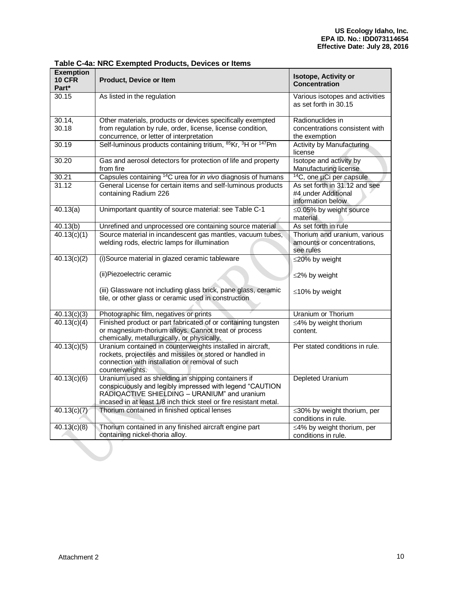| <b>Exemption</b><br><b>10 CFR</b><br>Part* | <b>Product, Device or Item</b>                                                                                                                                                                                                       | Isotope, Activity or<br>Concentration                                     |
|--------------------------------------------|--------------------------------------------------------------------------------------------------------------------------------------------------------------------------------------------------------------------------------------|---------------------------------------------------------------------------|
| 30.15                                      | As listed in the regulation                                                                                                                                                                                                          | Various isotopes and activities<br>as set forth in 30.15                  |
| 30.14,<br>30.18                            | Other materials, products or devices specifically exempted<br>from regulation by rule, order, license, license condition,<br>concurrence, or letter of interpretation                                                                | Radionuclides in<br>concentrations consistent with<br>the exemption       |
| 30.19                                      | Self-luminous products containing tritium, <sup>85</sup> Kr, <sup>3</sup> H or <sup>147</sup> Pm                                                                                                                                     | Activity by Manufacturing<br>license                                      |
| 30.20                                      | Gas and aerosol detectors for protection of life and property<br>from fire                                                                                                                                                           | Isotope and activity by<br>Manufacturing license                          |
| 30.21                                      | Capsules containing <sup>14</sup> C urea for in vivo diagnosis of humans                                                                                                                                                             | <sup>14</sup> C, one µCi per capsule                                      |
| 31.12                                      | General License for certain items and self-luminous products<br>containing Radium 226                                                                                                                                                | As set forth in 31.12 and see<br>#4 under Additional<br>information below |
| 40.13(a)                                   | Unimportant quantity of source material: see Table C-1                                                                                                                                                                               | ≤0.05% by weight source<br>material                                       |
| 40.13(b)                                   | Unrefined and unprocessed ore containing source material                                                                                                                                                                             | As set forth in rule                                                      |
| 40.13(c)(1)                                | Source material in incandescent gas mantles, vacuum tubes,<br>welding rods, electric lamps for illumination                                                                                                                          | Thorium and uranium, various<br>amounts or concentrations,<br>see rules   |
| 40.13(c)(2)                                | (i)Source material in glazed ceramic tableware                                                                                                                                                                                       | ≤20% by weight                                                            |
|                                            | (ii) Piezoelectric ceramic                                                                                                                                                                                                           | ≤2% by weight                                                             |
|                                            | (iii) Glassware not including glass brick, pane glass, ceramic<br>tile, or other glass or ceramic used in construction                                                                                                               | ≤10% by weight                                                            |
| 40.13(c)(3)                                | Photographic film, negatives or prints                                                                                                                                                                                               | Uranium or Thorium                                                        |
| 40.13(c)(4)                                | Finished product or part fabricated of or containing tungsten<br>or magnesium-thorium alloys. Cannot treat or process<br>chemically, metallurgically, or physically.                                                                 | ≤4% by weight thorium<br>content.                                         |
| 40.13(c)(5)                                | Uranium contained in counterweights installed in aircraft,<br>rockets, projectiles and missiles or stored or handled in<br>connection with installation or removal of such<br>counterweights.                                        | Per stated conditions in rule.                                            |
| 40.13(c)(6)                                | Uranium used as shielding in shipping containers if<br>conspicuously and legibly impressed with legend "CAUTION<br>RADIOACTIVE SHIELDING - URANIUM" and uranium<br>incased in at least 1/8 inch thick steel or fire resistant metal. | <b>Depleted Uranium</b>                                                   |
| 40.13(c)(7)                                | Thorium contained in finished optical lenses                                                                                                                                                                                         | $\leq$ 30% by weight thorium, per<br>conditions in rule.                  |
| 40.13(c)(8)                                | Thorium contained in any finished aircraft engine part<br>containing nickel-thoria alloy.                                                                                                                                            | $\leq$ 4% by weight thorium, per<br>conditions in rule.                   |

## **Table C-4a: NRC Exempted Products, Devices or Items**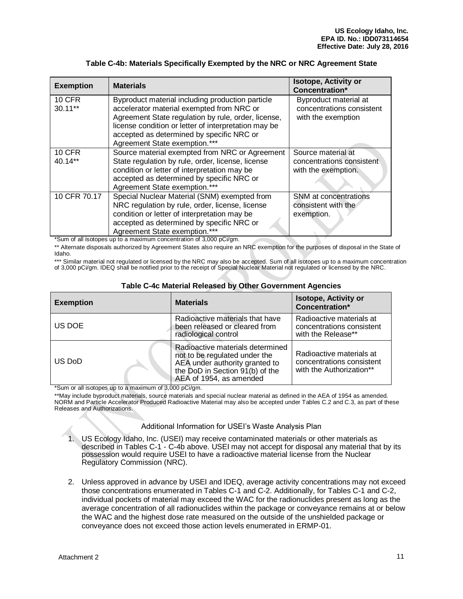| <b>Exemption</b>         | <b>Materials</b>                                                                                                                                                                                                                                                                           | <b>Isotope, Activity or</b><br>Concentration*                            |
|--------------------------|--------------------------------------------------------------------------------------------------------------------------------------------------------------------------------------------------------------------------------------------------------------------------------------------|--------------------------------------------------------------------------|
| <b>10 CFR</b><br>30.11** | Byproduct material including production particle<br>accelerator material exempted from NRC or<br>Agreement State regulation by rule, order, license,<br>license condition or letter of interpretation may be<br>accepted as determined by specific NRC or<br>Agreement State exemption.*** | Byproduct material at<br>concentrations consistent<br>with the exemption |
| <b>10 CFR</b><br>40.14** | Source material exempted from NRC or Agreement<br>State regulation by rule, order, license, license<br>condition or letter of interpretation may be<br>accepted as determined by specific NRC or<br>Agreement State exemption.***                                                          | Source material at<br>concentrations consistent<br>with the exemption.   |
| 10 CFR 70.17<br>.        | Special Nuclear Material (SNM) exempted from<br>NRC regulation by rule, order, license, license<br>condition or letter of interpretation may be<br>accepted as determined by specific NRC or<br>Agreement State exemption.***                                                              | <b>SNM</b> at concentrations<br>consistent with the<br>exemption.        |

#### **Table C-4b: Materials Specifically Exempted by the NRC or NRC Agreement State**

\*Sum of all isotopes up to a maximum concentration of 3,000 pCi/gm.

\*\* Alternate disposals authorized by Agreement States also require an NRC exemption for the purposes of disposal in the State of Idaho.

\*\*\* Similar material not regulated or licensed by the NRC may also be accepted. Sum of all isotopes up to a maximum concentration of 3,000 pCi/gm. IDEQ shall be notified prior to the receipt of Special Nuclear Material not regulated or licensed by the NRC.

| <b>Exemption</b> | <b>Materials</b>                                                                                                                                                  | <b>Isotope, Activity or</b><br>Concentration*                                     |
|------------------|-------------------------------------------------------------------------------------------------------------------------------------------------------------------|-----------------------------------------------------------------------------------|
| US DOE           | Radioactive materials that have<br>been released or cleared from<br>radiological control                                                                          | Radioactive materials at<br>concentrations consistent<br>with the Release**       |
| US DoD           | Radioactive materials determined<br>not to be regulated under the<br>AEA under authority granted to<br>the DoD in Section 91(b) of the<br>AEA of 1954, as amended | Radioactive materials at<br>concentrations consistent<br>with the Authorization** |

#### **Table C-4c Material Released by Other Government Agencies**

\*Sum or all isotopes up to a maximum of 3,000 pCi/gm.

\*\*May include byproduct materials, source materials and special nuclear material as defined in the AEA of 1954 as amended. NORM and Particle Accelerator Produced Radioactive Material may also be accepted under Tables C.2 and C.3, as part of these Releases and Authorizations.

Additional Information for USEI's Waste Analysis Plan

- 1. US Ecology Idaho, Inc. (USEI) may receive contaminated materials or other materials as described in Tables C-1 - C-4b above. USEI may not accept for disposal any material that by its possession would require USEI to have a radioactive material license from the Nuclear Regulatory Commission (NRC).
- 2. Unless approved in advance by USEI and IDEQ, average activity concentrations may not exceed those concentrations enumerated in Tables C-1 and C-2. Additionally, for Tables C-1 and C-2, individual pockets of material may exceed the WAC for the radionuclides present as long as the average concentration of all radionuclides within the package or conveyance remains at or below the WAC and the highest dose rate measured on the outside of the unshielded package or conveyance does not exceed those action levels enumerated in ERMP-01.